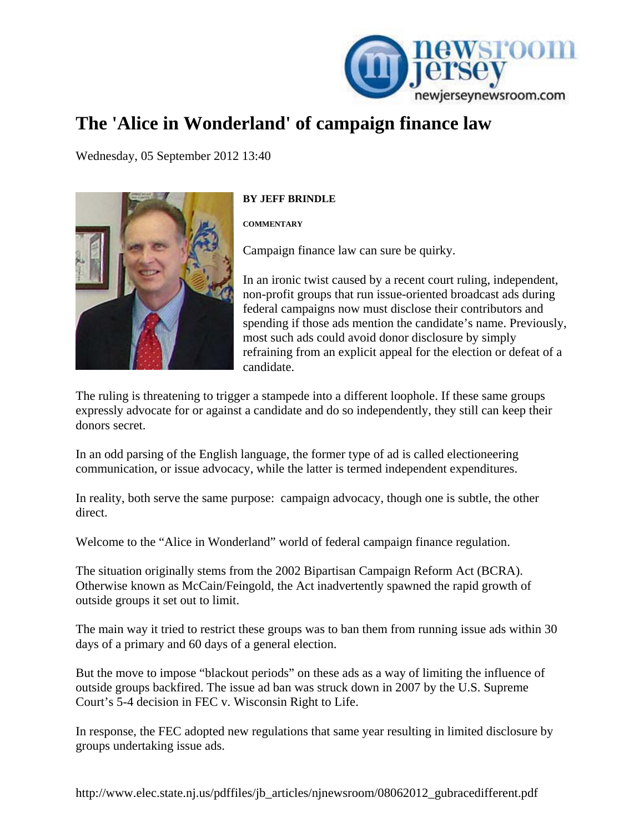

## **The 'Alice in Wonderland' of campaign finance law**

[We](http://www.newjerseynewsroom.com/commentary/campaign-finances-disclosure-loophole/print)dnesday, 05 September 2012 13:40



## **BY JEFF BRINDLE**

**COMMENTARY** 

Campaign finance law can sure be quirky.

candidate. In an ironic twist caused by a recent court ruling, independent, non-profit groups that run issue-oriented broadcast ads during federal campaigns now must disclose their contributors and spending if those ads mention the candidate's name. Previously, most such ads could avoid donor disclosure by simply refraining from an explicit appeal for the election or defeat of a

expressly advocate for or against a candidate and do so independently, they still can keep their donors secret. The ruling is threatening to trigger a stampede into a different loophole. If these same groups

communication, or issue advocacy, while the latter is termed independent expenditures. In an odd parsing of the English language, the former type of ad is called electioneering

In reality, both serve the same purpose: campaign advocacy, though one is subtle, the other direct.

Welcome to the "Alice in Wonderland" world of federal campaign finance regulation.

Otherwise known as McCain/Feingold, the Act inadvertently spawned the rapid growth of outside groups it set out to limit. The situation originally stems from the 2002 Bipartisan Campaign Reform Act (BCRA).

The main way it tried to restrict these groups was to ban them from running issue ads within 30 days of a primary and 60 days of a general election.

But the move to impose "blackout periods" on these ads as a way of limiting the influence of outside groups backfired. The issue ad ban was struck down in 2007 by the U.S. Supreme Court's 5-4 decision in FEC v. Wisconsin Right to Life.

In response, the FEC adopted new regulations that same year resulting in limited disclosure by groups undertaking issue ads.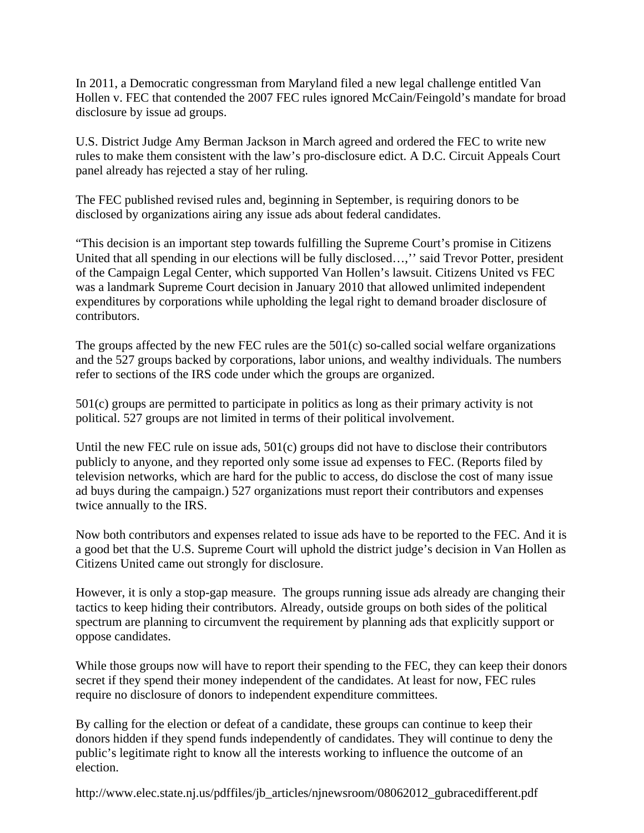In 2011, a Democratic congressman from Maryland filed a new legal challenge entitled Van Hollen v. FEC that contended the 2007 FEC rules ignored McCain/Feingold's mandate for broad disclosure by issue ad groups.

U.S. District Judge Amy Berman Jackson in March agreed and ordered the FEC to write new rules to make them consistent with the law's pro-disclosure edict. A D.C. Circuit Appeals Court panel already has rejected a stay of her ruling.

The FEC published revised rules and, beginning in September, is requiring donors to be disclosed by organizations airing any issue ads about federal candidates.

"This decision is an important step towards fulfilling the Supreme Court's promise in Citizens United that all spending in our elections will be fully disclosed…,'' said Trevor Potter, president of the Campaign Legal Center, which supported Van Hollen's lawsuit. Citizens United vs FEC was a landmark Supreme Court decision in January 2010 that allowed unlimited independent expenditures by corporations while upholding the legal right to demand broader disclosure of contributors.

The groups affected by the new FEC rules are the 501(c) so-called social welfare organizations and the 527 groups backed by corporations, labor unions, and wealthy individuals. The numbers refer to sections of the IRS code under which the groups are organized.

501(c) groups are permitted to participate in politics as long as their primary activity is not political. 527 groups are not limited in terms of their political involvement.

Until the new FEC rule on issue ads, 501(c) groups did not have to disclose their contributors publicly to anyone, and they reported only some issue ad expenses to FEC. (Reports filed by television networks, which are hard for the public to access, do disclose the cost of many issue ad buys during the campaign.) 527 organizations must report their contributors and expenses twice annually to the IRS.

Now both contributors and expenses related to issue ads have to be reported to the FEC. And it is a good bet that the U.S. Supreme Court will uphold the district judge's decision in Van Hollen as Citizens United came out strongly for disclosure.

However, it is only a stop-gap measure. The groups running issue ads already are changing their tactics to keep hiding their contributors. Already, outside groups on both sides of the political spectrum are planning to circumvent the requirement by planning ads that explicitly support or oppose candidates.

While those groups now will have to report their spending to the FEC, they can keep their donors secret if they spend their money independent of the candidates. At least for now, FEC rules require no disclosure of donors to independent expenditure committees.

By calling for the election or defeat of a candidate, these groups can continue to keep their donors hidden if they spend funds independently of candidates. They will continue to deny the public's legitimate right to know all the interests working to influence the outcome of an election.

http://www.elec.state.nj.us/pdffiles/jb\_articles/njnewsroom/08062012\_gubracedifferent.pdf